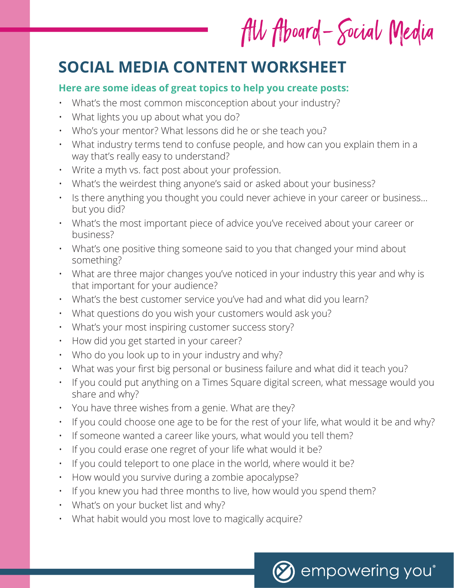# All Aboard-Social Media

# **SOCIAL MEDIA CONTENT WORKSHEET**

### **Here are some ideas of great topics to help you create posts:**

- What's the most common misconception about your industry?
- What lights you up about what you do?
- Who's your mentor? What lessons did he or she teach you?
- What industry terms tend to confuse people, and how can you explain them in a way that's really easy to understand?
- Write a myth vs. fact post about your profession.
- What's the weirdest thing anyone's said or asked about your business?
- Is there anything you thought you could never achieve in your career or business… but you did?
- What's the most important piece of advice you've received about your career or business?
- What's one positive thing someone said to you that changed your mind about something?
- What are three major changes you've noticed in your industry this year and why is that important for your audience?
- What's the best customer service you've had and what did you learn?
- What questions do you wish your customers would ask you?
- What's your most inspiring customer success story?
- How did you get started in your career?
- Who do you look up to in your industry and why?
- What was your first big personal or business failure and what did it teach you?
- If you could put anything on a Times Square digital screen, what message would you share and why?
- You have three wishes from a genie. What are they?
- If you could choose one age to be for the rest of your life, what would it be and why?
- If someone wanted a career like yours, what would you tell them?
- If you could erase one regret of your life what would it be?
- If you could teleport to one place in the world, where would it be?
- How would you survive during a zombie apocalypse?
- If you knew you had three months to live, how would you spend them?
- What's on your bucket list and why?
- What habit would you most love to magically acquire?

empowering you®